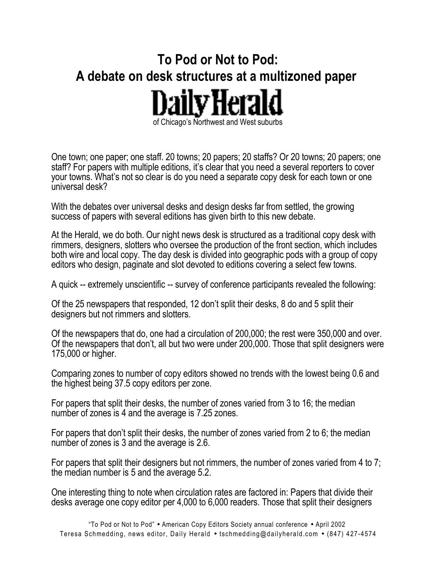## **To Pod or Not to Pod: A debate on desk structures at a multizoned paper**  of Chicago's Northwest and West suburbs

One town; one paper; one staff. 20 towns; 20 papers; 20 staffs? Or 20 towns; 20 papers; one staff? For papers with multiple editions, it's clear that you need a several reporters to cover your towns. What's not so clear is do you need a separate copy desk for each town or one universal desk?

With the debates over universal desks and design desks far from settled, the growing success of papers with several editions has given birth to this new debate.

At the Herald, we do both. Our night news desk is structured as a traditional copy desk with rimmers, designers, slotters who oversee the production of the front section, which includes both wire and local copy. The day desk is divided into geographic pods with a group of copy editors who design, paginate and slot devoted to editions covering a select few towns.

A quick -- extremely unscientific -- survey of conference participants revealed the following:

Of the 25 newspapers that responded, 12 don't split their desks, 8 do and 5 split their designers but not rimmers and slotters.

Of the newspapers that do, one had a circulation of 200,000; the rest were 350,000 and over. Of the newspapers that don't, all but two were under 200,000. Those that split designers were 175,000 or higher.

Comparing zones to number of copy editors showed no trends with the lowest being 0.6 and the highest being 37.5 copy editors per zone.

For papers that split their desks, the number of zones varied from 3 to 16; the median number of zones is 4 and the average is 7.25 zones.

For papers that don't split their desks, the number of zones varied from 2 to 6; the median number of zones is 3 and the average is 2.6.

For papers that split their designers but not rimmers, the number of zones varied from 4 to 7; the median number is 5 and the average 5.2.

One interesting thing to note when circulation rates are factored in: Papers that divide their desks average one copy editor per 4,000 to 6,000 readers. Those that split their designers